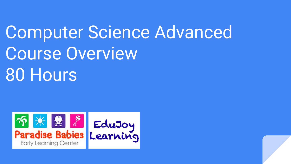# Computer Science Advanced Course Overview 80 Hours

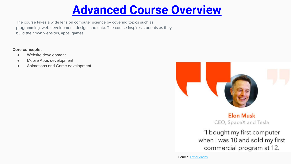## **Advanced Course Overview**

The course takes a wide lens on computer science by covering topics such as programming, web development, design, and data. The course inspires students as they build their own websites, apps, games.

**Core concepts:**

- Website development
- Mobile Apps development
- Animations and Game development



**Elon Musk** CEO, SpaceX and Tesla

"I bought my first computer when I was 10 and sold my first commercial program at 12.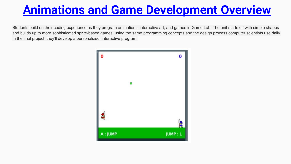# **Animations and Game Development Overview**

Students build on their coding experience as they program animations, interactive art, and games in Game Lab. The unit starts off with simple shapes and builds up to more sophisticated sprite-based games, using the same programming concepts and the design process computer scientists use daily. In the final project, they'll develop a personalized, interactive program.

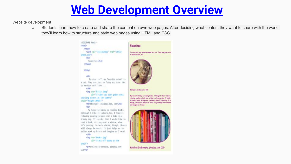#### **Web Development Overview**

Website development

○ Students learn how to create and share the content on own web pages. After deciding what content they want to share with the world, they'll learn how to structure and style web pages using HTML and CSS.

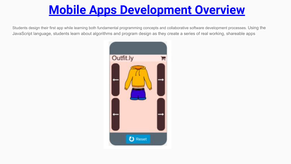# **Mobile Apps Development Overview**

Students design their first app while learning both fundamental programming concepts and collaborative software development processes. Using the JavaScript language, students learn about algorithms and program design as they create a series of real working, shareable apps